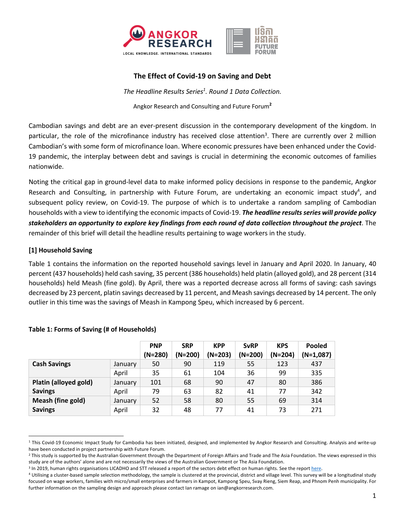

## **The Effect of Covid-19 on Saving and Debt**

*The Headline Results Series<sup>1</sup> . Round 1 Data Collection.* 

Angkor Research and Consulting and Future Forum**<sup>2</sup>**

Cambodian savings and debt are an ever-present discussion in the contemporary development of the kingdom. In particular, the role of the microfinance industry has received close attention<sup>3</sup>. There are currently over 2 million Cambodian's with some form of microfinance loan. Where economic pressures have been enhanced under the Covid-19 pandemic, the interplay between debt and savings is crucial in determining the economic outcomes of families nationwide.

Noting the critical gap in ground-level data to make informed policy decisions in response to the pandemic, Angkor Research and Consulting, in partnership with Future Forum, are undertaking an economic impact study<sup>4</sup>, and subsequent policy review, on Covid-19. The purpose of which is to undertake a random sampling of Cambodian households with a view to identifying the economic impacts of Covid-19. *The headline results series will provide policy stakeholders an opportunity to explore key findings from each round of data collection throughout the project*. The remainder of this brief will detail the headline results pertaining to wage workers in the study.

## **[1] Household Saving**

Table 1 contains the information on the reported household savings level in January and April 2020. In January, 40 percent (437 households) held cash saving, 35 percent (386 households) held platin (alloyed gold), and 28 percent (314 households) held Meash (fine gold). By April, there was a reported decrease across all forms of saving: cash savings decreased by 23 percent, platin savings decreased by 11 percent, and Meash savings decreased by 14 percent. The only outlier in this time was the savings of Meash in Kampong Speu, which increased by 6 percent.

|                                         |         | <b>PNP</b><br>$(N=280)$ | <b>SRP</b><br>$(N=200)$ | <b>KPP</b><br>$(N=203)$ | <b>SvRP</b><br>$(N=200)$ | <b>KPS</b><br>$(N=204)$ | <b>Pooled</b><br>$(N=1,087)$ |
|-----------------------------------------|---------|-------------------------|-------------------------|-------------------------|--------------------------|-------------------------|------------------------------|
| <b>Cash Savings</b>                     | January | 50                      | 90                      | 119                     | 55                       | 123                     | 437                          |
|                                         | April   | 35                      | 61                      | 104                     | 36                       | 99                      | 335                          |
| Platin (alloyed gold)<br><b>Savings</b> | January | 101                     | 68                      | 90                      | 47                       | 80                      | 386                          |
|                                         | April   | 79                      | 63                      | 82                      | 41                       | 77                      | 342                          |
| Meash (fine gold)<br><b>Savings</b>     | January | 52                      | 58                      | 80                      | 55                       | 69                      | 314                          |
|                                         | April   | 32                      | 48                      | 77                      | 41                       | 73                      | 271                          |

## **Table 1: Forms of Saving (# of Households)**

<sup>&</sup>lt;sup>1</sup> This Covid-19 Economic Impact Study for Cambodia has been initiated, designed, and implemented by Angkor Research and Consulting. Analysis and write-up have been conducted in project partnership with Future Forum.

<sup>&</sup>lt;sup>2</sup> This study is supported by the Australian Government through the Department of Foreign Affairs and Trade and The Asia Foundation. The views expressed in this study are of the authors' alone and are not necessarily the views of the Australian Government or The Asia Foundation.

<sup>&</sup>lt;sup>3</sup> In 2019, human rights organisations LICADHO and STT released a report of the sectors debt effect on human rights. See the report here.

<sup>4</sup> Utilising a cluster-based sample selection methodology, the sample is clustered at the provincial, district and village level. This survey will be a longitudinal study focused on wage workers, families with micro/small enterprises and farmers in Kampot, Kampong Speu, Svay Rieng, Siem Reap, and Phnom Penh municipality. For further information on the sampling design and approach please contact Ian ramage on ian@angkorresearch.com.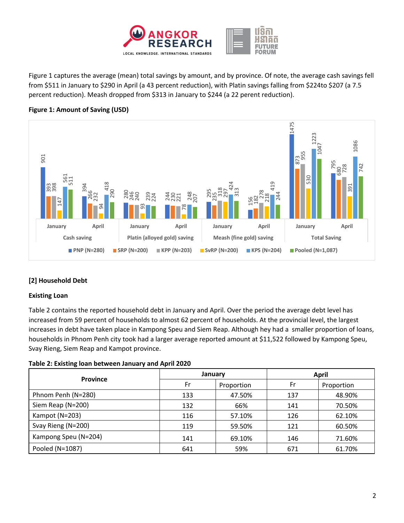

Figure 1 captures the average (mean) total savings by amount, and by province. Of note, the average cash savings fell from \$511 in January to \$290 in April (a 43 percent reduction), with Platin savings falling from \$224to \$207 (a 7.5 percent reduction). Meash dropped from \$313 in January to \$244 (a 22 perent reduction).





# **[2] Household Debt**

## **Existing Loan**

Table 2 contains the reported household debt in January and April. Over the period the average debt level has increased from 59 percent of households to almost 62 percent of households. At the provincial level, the largest increases in debt have taken place in Kampong Speu and Siem Reap. Although hey had a smaller proportion of loans, households in Phnom Penh city took had a larger average reported amount at \$11,522 followed by Kampong Speu, Svay Rieng, Siem Reap and Kampot province.

## **Table 2: Existing loan between January and April 2020**

|                      | January |            | <b>April</b> |            |  |
|----------------------|---------|------------|--------------|------------|--|
| <b>Province</b>      | Fr      | Proportion | Fr           | Proportion |  |
| Phnom Penh (N=280)   | 133     | 47.50%     | 137          | 48.90%     |  |
| Siem Reap (N=200)    | 132     | 66%        | 141          | 70.50%     |  |
| Kampot (N=203)       | 116     | 57.10%     | 126          | 62.10%     |  |
| Svay Rieng (N=200)   | 119     | 59.50%     | 121          | 60.50%     |  |
| Kampong Speu (N=204) | 141     | 69.10%     | 146          | 71.60%     |  |
| Pooled (N=1087)      | 641     | 59%        | 671          | 61.70%     |  |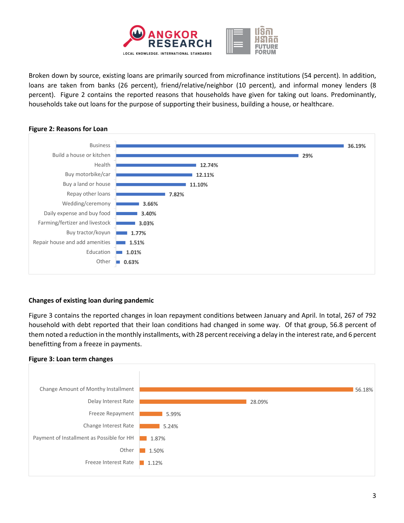

Broken down by source, existing loans are primarily sourced from microfinance institutions (54 percent). In addition, loans are taken from banks (26 percent), friend/relative/neighbor (10 percent), and informal money lenders (8 percent). Figure 2 contains the reported reasons that households have given for taking out loans. Predominantly, households take out loans for the purpose of supporting their business, building a house, or healthcare.



#### **Figure 2: Reasons for Loan**

## **Changes of existing loan during pandemic**

Figure 3 contains the reported changes in loan repayment conditions between January and April. In total, 267 of 792 household with debt reported that their loan conditions had changed in some way. Of that group, 56.8 percent of them noted a reduction in the monthly installments, with 28 percent receiving a delay in the interest rate, and 6 percent benefitting from a freeze in payments.

#### **Figure 3: Loan term changes**